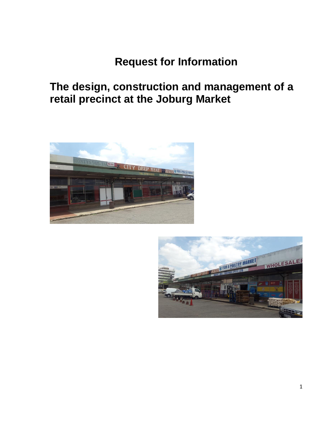## **Request for Information**

## **The design, construction and management of a retail precinct at the Joburg Market**



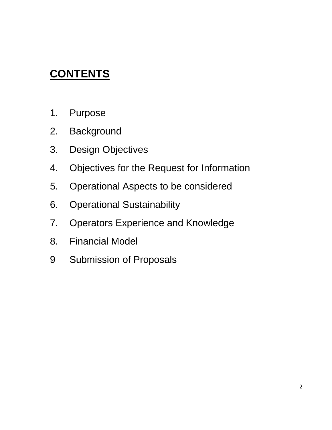# **CONTENTS**

- 1. Purpose
- 2. Background
- 3. Design Objectives
- 4. Objectives for the Request for Information
- 5. Operational Aspects to be considered
- 6. Operational Sustainability
- 7. Operators Experience and Knowledge
- 8. Financial Model
- 9 Submission of Proposals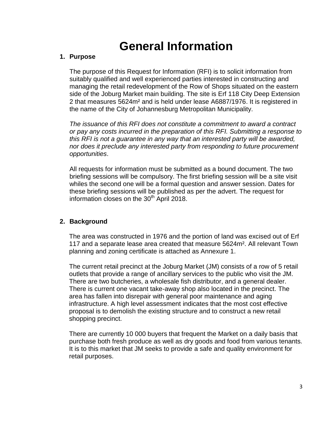## **General Information**

#### **1. Purpose**

The purpose of this Request for Information (RFI) is to solicit information from suitably qualified and well experienced parties interested in constructing and managing the retail redevelopment of the Row of Shops situated on the eastern side of the Joburg Market main building. The site is Erf 118 City Deep Extension 2 that measures 5624m² and is held under lease A6887/1976. It is registered in the name of the City of Johannesburg Metropolitan Municipality.

*The issuance of this RFI does not constitute a commitment to award a contract or pay any costs incurred in the preparation of this RFI. Submitting a response to this RFI is not a guarantee in any way that an interested party will be awarded, nor does it preclude any interested party from responding to future procurement opportunities*.

All requests for information must be submitted as a bound document. The two briefing sessions will be compulsory. The first briefing session will be a site visit whiles the second one will be a formal question and answer session. Dates for these briefing sessions will be published as per the advert. The request for information closes on the  $30<sup>th</sup>$  April 2018.

## **2. Background**

The area was constructed in 1976 and the portion of land was excised out of Erf 117 and a separate lease area created that measure 5624m². All relevant Town planning and zoning certificate is attached as Annexure 1.

The current retail precinct at the Joburg Market (JM) consists of a row of 5 retail outlets that provide a range of ancillary services to the public who visit the JM. There are two butcheries, a wholesale fish distributor, and a general dealer. There is current one vacant take-away shop also located in the precinct. The area has fallen into disrepair with general poor maintenance and aging infrastructure. A high level assessment indicates that the most cost effective proposal is to demolish the existing structure and to construct a new retail shopping precinct.

There are currently 10 000 buyers that frequent the Market on a daily basis that purchase both fresh produce as well as dry goods and food from various tenants. It is to this market that JM seeks to provide a safe and quality environment for retail purposes.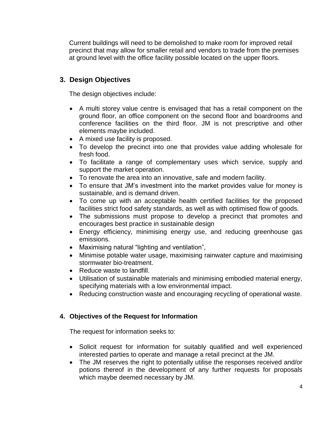Current buildings will need to be demolished to make room for improved retail precinct that may allow for smaller retail and vendors to trade from the premises at ground level with the office facility possible located on the upper floors.

## **3. Design Objectives**

The design objectives include:

- A multi storey value centre is envisaged that has a retail component on the ground floor, an office component on the second floor and boardrooms and conference facilities on the third floor. JM is not prescriptive and other elements maybe included.
- A mixed use facility is proposed.
- To develop the precinct into one that provides value adding wholesale for fresh food.
- To facilitate a range of complementary uses which service, supply and support the market operation.
- To renovate the area into an innovative, safe and modern facility.
- To ensure that JM's investment into the market provides value for money is sustainable, and is demand driven.
- To come up with an acceptable health certified facilities for the proposed facilities strict food safety standards, as well as with optimised flow of goods.
- The submissions must propose to develop a precinct that promotes and encourages best practice in sustainable design
- Energy efficiency, minimising energy use, and reducing greenhouse gas emissions.
- Maximising natural "lighting and ventilation",
- Minimise potable water usage, maximising rainwater capture and maximising stormwater bio-treatment.
- Reduce waste to landfill.
- Utilisation of sustainable materials and minimising embodied material energy, specifying materials with a low environmental impact.
- Reducing construction waste and encouraging recycling of operational waste.

## **4. Objectives of the Request for Information**

The request for information seeks to:

- Solicit request for information for suitably qualified and well experienced interested parties to operate and manage a retail precinct at the JM.
- The JM reserves the right to potentially utilise the responses received and/or potions thereof in the development of any further requests for proposals which maybe deemed necessary by JM.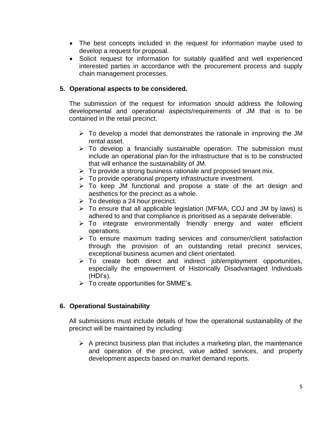- The best concepts included in the request for information maybe used to develop a request for proposal.
- Solicit request for information for suitably qualified and well experienced interested parties in accordance with the procurement process and supply chain management processes.

### **5. Operational aspects to be considered.**

The submission of the request for information should address the following developmental and operational aspects/requirements of JM that is to be contained in the retail precinct.

- $\triangleright$  To develop a model that demonstrates the rationale in improving the JM rental asset.
- $\triangleright$  To develop a financially sustainable operation. The submission must include an operational plan for the infrastructure that is to be constructed that will enhance the sustainability of JM.
- $\triangleright$  To provide a strong business rationale and proposed tenant mix.
- $\triangleright$  To provide operational property infrastructure investment.
- $\triangleright$  To keep JM functional and propose a state of the art design and aesthetics for the precinct as a whole.
- $\triangleright$  To develop a 24 hour precinct.
- $\triangleright$  To ensure that all applicable legislation (MFMA, COJ and JM by laws) is adhered to and that compliance is prioritised as a separate deliverable.
- $\triangleright$  To integrate environmentally friendly energy and water efficient operations.
- $\triangleright$  To ensure maximum trading services and consumer/client satisfaction through the provision of an outstanding retail precinct services, exceptional business acumen and client orientated.
- $\triangleright$  To create both direct and indirect job/employment opportunities, especially the empowerment of Historically Disadvantaged Individuals (HDI's).
- $\triangleright$  To create opportunities for SMME's.

## **6. Operational Sustainability**

All submissions must include details of how the operational sustainability of the precinct will be maintained by including:

 $\triangleright$  A precinct business plan that includes a marketing plan, the maintenance and operation of the precinct, value added services, and property development aspects based on market demand reports.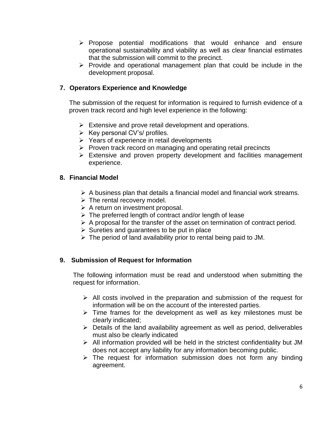- $\triangleright$  Propose potential modifications that would enhance and ensure operational sustainability and viability as well as clear financial estimates that the submission will commit to the precinct.
- $\triangleright$  Provide and operational management plan that could be include in the development proposal.

### **7. Operators Experience and Knowledge**

The submission of the request for information is required to furnish evidence of a proven track record and high level experience in the following:

- $\triangleright$  Extensive and prove retail development and operations.
- $\triangleright$  Key personal CV's/ profiles.
- $\triangleright$  Years of experience in retail developments
- $\triangleright$  Proven track record on managing and operating retail precincts
- $\triangleright$  Extensive and proven property development and facilities management experience.

#### **8. Financial Model**

- $\triangleright$  A business plan that details a financial model and financial work streams.
- $\triangleright$  The rental recovery model.
- $\triangleright$  A return on investment proposal.
- $\triangleright$  The preferred length of contract and/or length of lease
- $\triangleright$  A proposal for the transfer of the asset on termination of contract period.
- $\triangleright$  Sureties and guarantees to be put in place
- $\triangleright$  The period of land availability prior to rental being paid to JM.

## **9. Submission of Request for Information**

The following information must be read and understood when submitting the request for information.

- $\triangleright$  All costs involved in the preparation and submission of the request for information will be on the account of the interested parties.
- $\triangleright$  Time frames for the development as well as key milestones must be clearly indicated;
- $\triangleright$  Details of the land availability agreement as well as period, deliverables must also be clearly indicated
- $\triangleright$  All information provided will be held in the strictest confidentiality but JM does not accept any liability for any information becoming public.
- $\triangleright$  The request for information submission does not form any binding agreement.